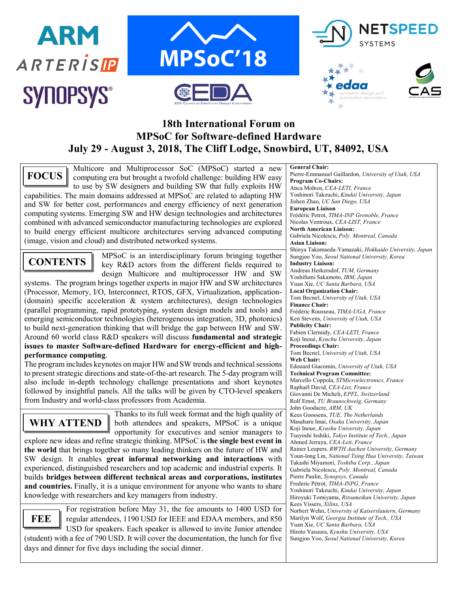











## **18th International Forum on MPSoC for Software-defined Hardware July 29 - August 3, 2018, The Cliff Lodge, Snowbird, UT, 84092, USA**

Multicore and Multiprocessor SoC (MPSoC) started a new computing era but brought a twofold challenge: building HW easy to use by SW designers and building SW that fully exploits HW capabilities. The main domains addressed at MPSoC are related to adapting HW and SW for better cost, performances and energy efficiency of next generation computing systems. Emerging SW and HW design technologies and architectures combined with advanced semiconductor manufacturing technologies are explored to build energy efficient multicore architectures serving advanced computing (image, vision and cloud) and distributed networked systems. **FOCUS**

# **CONTENTS**

MPSoC is an interdisciplinary forum bringing together key R&D actors from the different fields required to design Multicore and multiprocessor HW and SW

systems. The program brings together experts in major HW and SW architectures (Processor, Memory, I/O, Interconnect, RTOS, GFX, Virtualization, application- (domain) specific acceleration & system architectures), design technologies (parallel programming, rapid prototyping, system design models and tools) and emerging semiconductor technologies (heterogeneous integration, 3D, photonics) to build next-generation thinking that will bridge the gap between HW and SW. Around 60 world class R&D speakers will discuss **fundamental and strategic issues to master Software-defined Hardware for energy-efficient and highperformance computing**.

The program includes keynotes on major HW and SW trends and technical sessions to present strategic directions and state-of-the-art research. The 5-day program will also include in-depth technology challenge presentations and short keynotes followed by insightful panels. All the talks will be given by CTO-level speakers from Industry and world-class professors from Academia.

**WHY ATTEND**

Thanks to its full week format and the high quality of both attendees and speakers, MPSoC is a unique opportunity for executives and senior managers to

explore new ideas and refine strategic thinking. MPSoC is **the single best event in the world** that brings together so many leading thinkers on the future of HW and SW design. It enables **great informal networking and interactions** with experienced, distinguished researchers and top academic and industrial experts. It builds **bridges between different technical areas and corporations, institutes and countries.** Finally, it is a unique environment for anyone who wants to share knowledge with researchers and key managers from industry.

**FEE**

For registration before May 31, the fee amounts to 1400 USD for regular attendees, 1190 USD for IEEE and EDAA members, and 850 USD for speakers. Each speaker is allowed to invite Junior attendee (student) with a fee of 790 USD. It will cover the documentation, the lunch for five days and dinner for five days including the social dinner.

**General Chair:** Pierre-Emmanuel Gaillardon, *University of Utah, USA* **Program Co-Chairs:** Anca Molnos, *CEA-LETI, France* Yoshinori Takeuchi, *Kindai University, Japan* Jishen Zhao, *UC San Diego, USA* **European Liaison** Frédéric Petrot, *TIMA-INP Grenoble, France*  Nicolas Ventroux, *CEA-LIST, France* **North American Liaison:** Gabriela Nicolescu, *Poly. Montreal, Canada* **Asian Liaison:** Shinya Takamaeda-Yamazaki, *Hokkaido University, Japan* Sungjoo Yoo, *Seoul National University, Korea* **Industry Liaison:** Andreas Herkersdof, *TUM, Germany* Yoshifumi Sakamoto, *IBM, Japan* Yuan Xie, *UC Santa Barbara, USA* **Local Organization Chair:**  Tom Becnel, *University of Utah, USA* **Finance Chair:**  Frédéric Rousseau, *TIMA-UGA, France* Ken Stevens, *University of Utah, USA* **Publicity Chair:** Fabien Clermidy, *CEA-LETI, France* Koji Inoué, *Kyuchu University, Japan* **Proceedings Chair:** Tom Becnel, *University of Utah, USA* **Web Chair:** Edouard Giacomin, *University of Utah, USA* **Technical Program Committee:** Marcello Coppola, *STMicroelectronics, France* Raphaël David, *CEA-List, France* Giovanni De Micheli, *EPFL, Switzerland* Rolf Ernst, *TU Braunschweig, Germany* John Goodacre, *ARM, UK* Kees Goossens, *TUE, The Netherlands* Masaharu Imai, *Osaka University, Japan* Koji Inoue, *Kyushu University, Japan* Tsuyoshi Isshiki, *Tokyo Institute of Tech., Japan* Ahmed Jerraya, *CEA-Leti, France* Rainer Leupers*, RWTH Aachen University, Germany* Youn-long Lin, *National Tsing Hua University, Taiwan* Takashi Miyamori, *Toshiba Corp., Japan* Gabriela Nicolescu, *Poly. Montreal, Canada* Pierre Paulin, *Synopsys, Canada* Frederic Pétrot, *TIMA-INPG, France* Yoshinori Takeuchi, *Kindai University, Japan* Hiroyuki Tomiyama, *Ritsumeikan University, Japan* Kees Vissers, *Xilinx, USA* Norbert Wehn, *University of Kaiserslautern, Germany* Marilyn Wolf, *Georgia Institute of Tech., USA* Yuan Xie, *UC Santa Barbara, USA* Hiroto Yasuura, *Kyushu University, USA* Sungjoo Yoo, *Seoul National University, Korea*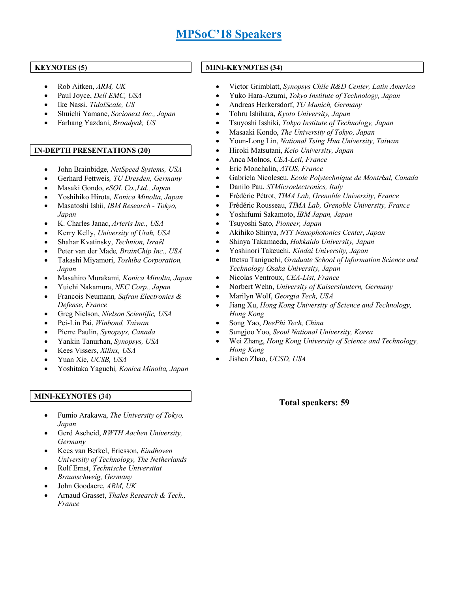# **MPSoC'18 Speakers**

#### **KEYNOTES (5)**

- Rob Aitken, *ARM, UK*
- Paul Joyce, *Dell EMC, USA*
- Ike Nassi, *TidalScale, US*
- Shuichi Yamane, *Socionext Inc., Japan*
- Farhang Yazdani, *Broadpak, US*
- **IN-DEPTH PRESENTATIONS (20)**
	- John Brainbidge*, NetSpeed Systems, USA*
	- Gerhard Fettweis*, TU Dresden, Germany*
	- Masaki Gondo, *eSOL Co.,Ltd., Japan*
	- Yoshihiko Hirota*, Konica Minolta, Japan*
	- Masatoshi Ishii*, IBM Research - Tokyo, Japan*
	- K. Charles Janac, *Arteris Inc., USA*
	- Kerry Kelly, *University of Utah, USA*
	- Shahar Kvatinsky, *Technion, Israël*
	- Peter van der Made*, BrainChip Inc., USA*
	- Takashi Miyamori, *Toshiba Corporation, Japan*
	- Masahiro Murakami*, Konica Minolta, Japan*
	- Yuichi Nakamura, *NEC Corp., Japan*
	- Francois Neumann*, Safran Electronics & Defense, France*
	- Greg Nielson, *Nielson Scientific, USA*
	- Pei-Lin Pai, *Winbond, Taiwan*
	- Pierre Paulin, *Synopsys, Canada*
	- Yankin Tanurhan, *Synopsys, USA*
	- Kees Vissers, *Xilinx, USA*
	- Yuan Xie, *UCSB, USA*
	- Yoshitaka Yaguchi*, Konica Minolta, Japan*

#### **MINI-KEYNOTES (34)**

- Fumio Arakawa, *The University of Tokyo, Japan*
- Gerd Ascheid, *RWTH Aachen University, Germany*
- Kees van Berkel, Ericsson, *Eindhoven University of Technology, The Netherlands*
- Rolf Ernst, *Technische Universitat Braunschweig, Germany*
- John Goodacre, *ARM, UK*
- Arnaud Grasset, *Thales Research & Tech., France*

#### **MINI-KEYNOTES (34)**

- Victor Grimblatt, *Synopsys Chile R&D Center, Latin America*
- Yuko Hara-Azumi, *Tokyo Institute of Technology, Japan*
- Andreas Herkersdorf, *TU Munich, Germany*
- Tohru Ishihara, *Kyoto University, Japan*
- Tsuyoshi Isshiki, *Tokyo Institute of Technology, Japan*
- Masaaki Kondo, *The University of Tokyo, Japan*
- Youn-Long Lin, *National Tsing Hua University, Taiwan*
- Hiroki Matsutani, *Keio University, Japan*
- Anca Molnos, *CEA-Leti, France*
- Eric Monchalin, *ATOS, France*
- Gabriela Nicolescu, *Ecole Polytechnique de Montr*é*al, Canada*
- Danilo Pau, *STMicroelectronics, Italy*
- Frédéric Pétrot, *TIMA Lab, Grenoble University, France*
- Frédéric Rousseau, *TIMA Lab, Grenoble University, France*
- Yoshifumi Sakamoto, *IBM Japan, Japan*
- Tsuyoshi Sato*, Pioneer, Japan*
- Akihiko Shinya, *NTT Nanophotonics Center, Japan*
- Shinya Takamaeda, *Hokkaido University, Japan*
- Yoshinori Takeuchi, *Kindai University, Japan*
- Ittetsu Taniguchi, *Graduate School of Information Science and Technology Osaka University, Japan*
- Nicolas Ventroux, *CEA-List, France*
- Norbert Wehn, *University of Kaiserslautern, Germany*
- Marilyn Wolf, *Georgia Tech, USA*
- Jiang Xu, *Hong Kong University of Science and Technology, Hong Kong*
- Song Yao, *DeePhi Tech, China*
- Sungjoo Yoo, *Seoul National University, Korea*
- Wei Zhang, *Hong Kong University of Science and Technology, Hong Kong*
- Jishen Zhao, *UCSD, USA*

#### **Total speakers: 59**